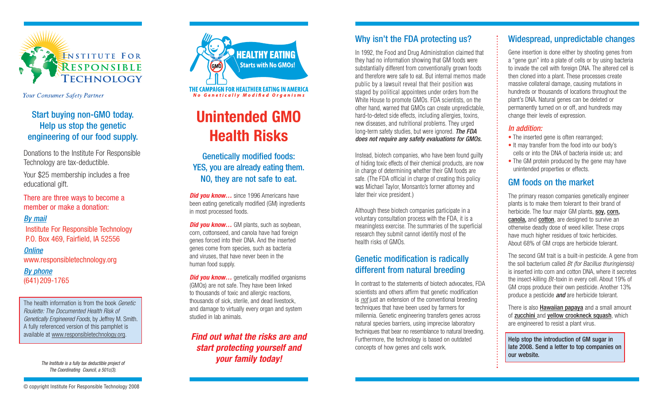

Your Consumer Safety Partner

## Start buying non-GMO today. Help us stop the genetic engineering of our food supply.

Donations to the Institute For Responsible Technology are tax-deductible.

Your \$25 membership includes a free educational gift.

#### There are three ways to become a member or make a donation:

#### By mail

Institute For Responsible Technology P.O. Box 469, Fairfield, IA 52556

#### **Online**

www.responsibletechnology.org

By phone (641) 209-1765

The health information is from the book *Genetic* Roulette: The Documented Health Risk of Genetically Engineered Foods, by Jeffrey M. Smith. A fully referenced version of this pamphlet is available at www.responsibletechnology.org.

> The Institute is a fully tax deductible project of The Coordinating Council, a 501c(3).



THE CAMPAIGN FOR HEALTHIER EATING IN AMERICA **No Genetically Modified Organisms** 

## **Unintended GMO Health Risks**

Genetically modified foods: YES, you are already eating them. NO, they are not safe to eat.

**Did you know...** since 1996 Americans have been eating genetically modified (GM) ingredients in most processed foods.

**Did you know...** GM plants, such as soybean, corn, cottonseed, and canola have had foreign genes forced into their DNA. And the inserted genes come from species, such as bacteria and viruses, that have never been in the human food supply.

**Did you know...** genetically modified organisms (GMOs) are not safe. They have been linked to thousands of toxic and allergic reactions, thousands of sick, sterile, and dead livestock, and damage to virtually every organ and system studied in lab animals.

**Find out what the risks are and start protecting yourself and your family today!**

## Why isn't the FDA protecting us?

In 1992, the Food and Drug Administration claimed that they had no information showing that GM foods were substantially different from conventionally grown foods and therefore were safe to eat. But internal memos made public by a lawsuit reveal that their position was staged by political appointees under orders from the White House to promote GMOs. FDA scientists, on the other hand, warned that GMOs can create unpredictable, hard-to-detect side effects, including allergies, toxins, new diseases, and nutritional problems. They urged long-term safety studies, but were ignored. The FDA does not require any safety evaluations for GMOs.

Instead, biotech companies, who have been found guilty of hiding toxic effects of their chemical products, are now in charge of determining whether their GM foods are safe. (The FDA official in charge of creating this policy was Michael Taylor, Monsanto's former attorney and later their vice president.)

Although these biotech companies participate in a voluntary consultation process with the FDA, it is a meaningless exercise. The summaries of the superficial research they submit cannot identify most of the health risks of GMOs.

## Genetic modification is radically different from natural breeding

In contrast to the statements of biotech advocates, FDA scientists and others affirm that genetic modification is *not* just an extension of the conventional breeding techniques that have been used by farmers for millennia. Genetic engineering transfers genes across natural species barriers, using imprecise laboratory techniques that bear no resemblance to natural breeding. Furthermore, the technology is based on outdated concepts of how genes and cells work.

## Widespread, unpredictable changes

Gene insertion is done either by shooting genes from <sup>a</sup>"gene gun" into a plate of cells or by using bacteria to invade the cell with foreign DNA. The altered cell is then cloned into a plant. These processes create massive collateral damage, causing mutations in hundreds or thousands of locations throughout the plant's DNA. Natural genes can be deleted or permanently turned on or off, and hundreds may change their levels of expression.

#### In addition:

- The inserted gene is often rearranged;
- It may transfer from the food into our body's cells or into the DNA of bacteria inside us; and
- The GM protein produced by the gene may have unintended properties or effects.

## GM foods on the market

The primary reason companies genetically engineer plants is to make them tolerant to their brand of herbicide. The four major GM plants, soy, corn, canola, and cotton, are designed to survive an otherwise deadly dose of weed killer. These crops have much higher residues of toxic herbicides. About 68% of GM crops are herbicide tolerant.

The second GM trait is a built-in pesticide. A gene from the soil bacterium called Bt (for Bacillus thuringiensis) is inserted into corn and cotton DNA, where it secretes the insect-killing Bt-toxin in every cell. About 19% of GM crops produce their own pesticide. Another 13% produce a pesticide **and** are herbicide tolerant.

There is also **Hawaiian papaya** and a small amount of zucchini and yellow crookneck squash, which are engineered to resist a plant virus.

Help stop the introduction of GM sugar in late 2008. Send a letter to top companies on our website.